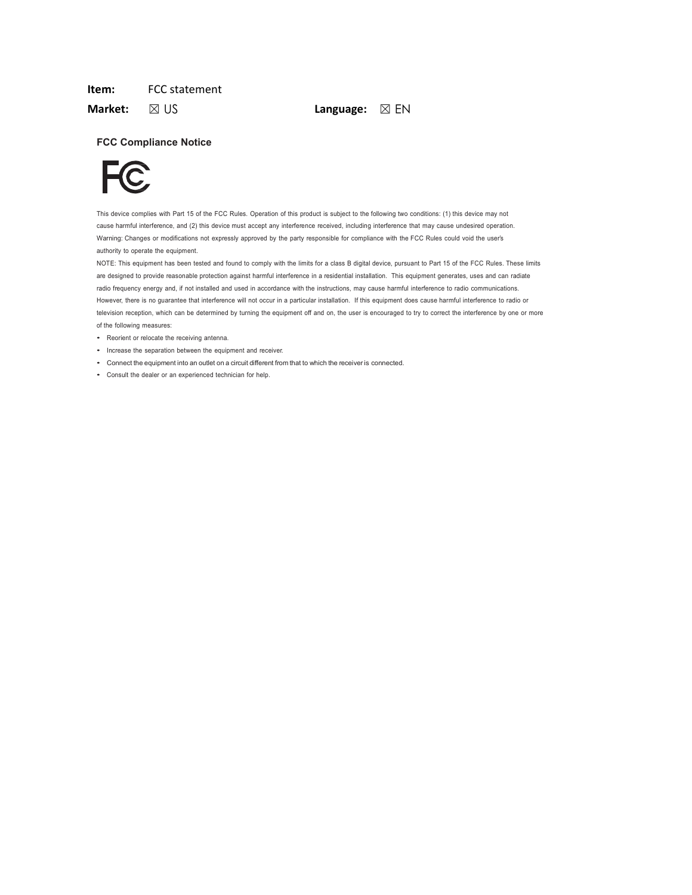# Item: FCC statement

**Market:** ⊠ US **Language:** ⊠ EN

# FCC Compliance Notice



This device complies with Part 15 of the FCC Rules. Operation of this product is subject to the following two conditions: (1) this device may not cause harmful interference, and (2) this device must accept any interference received, including interference that may cause undesired operation. Warning: Changes or modifications not expressly approved by the party responsible for compliance with the FCC Rules could void the user's authority to operate the equipment.

NOTE: This equipment has been tested and found to comply with the limits for a class B digital device, pursuant to Part 15 of the FCC Rules. These limits are designed to provide reasonable protection against harmful interference in a residential installation. This equipment generates, uses and can radiate<br>radio frequency energy and, if not installed and used in accordance w However, there is no guarantee that interference will not occur in a particular installation. If this equipment does cause harmful interference to radio or television reception, which can be determined by turning the equipment off and on, the user is encouraged to try to correct the interference by one or more of the following measures:

- Reorient or relocate the receiving antenna.
- Increase the separation between the equipment and receiver.
- Connect the equipment into an outlet on a circuit different from that to which the receiver is connected.
- Consult the dealer or an experienced technician for help.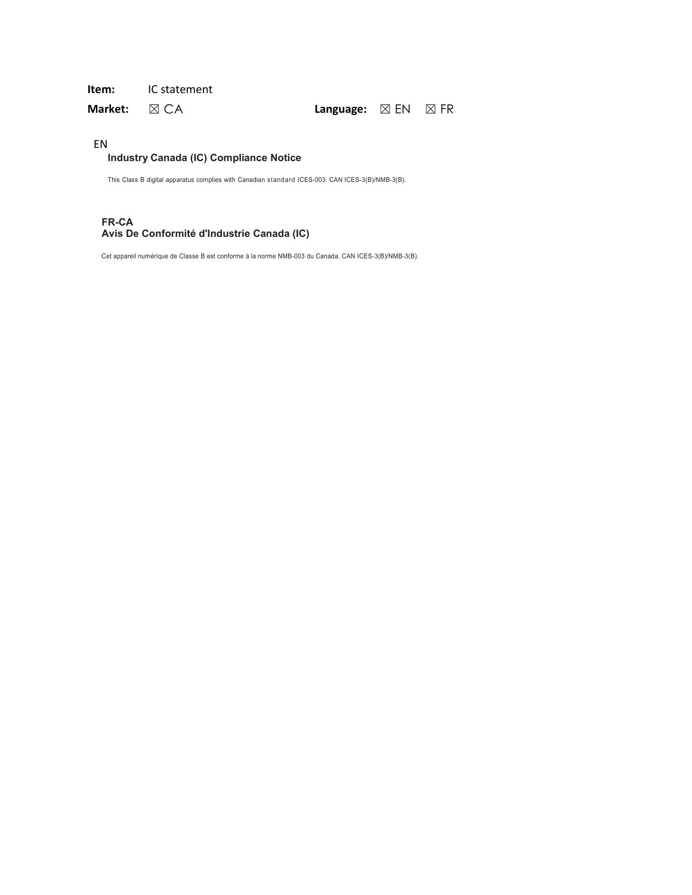# Item: IC statement

Market:  $\boxtimes$  CA Language:  $\boxtimes$  EN  $\boxtimes$  FR

# EN

# Industry Canada (IC) Compliance Notice

This Class B digital apparatus complies with Canadian standard ICES-003. CAN ICES-3(B)/NMB-3(B).

# FR-CA Avis De Conformité d'Industrie Canada (IC)

Cet appareil numérique de Classe B est conforme à la norme NMB-003 du Canada. CAN ICES-3(B)/NMB-3(B).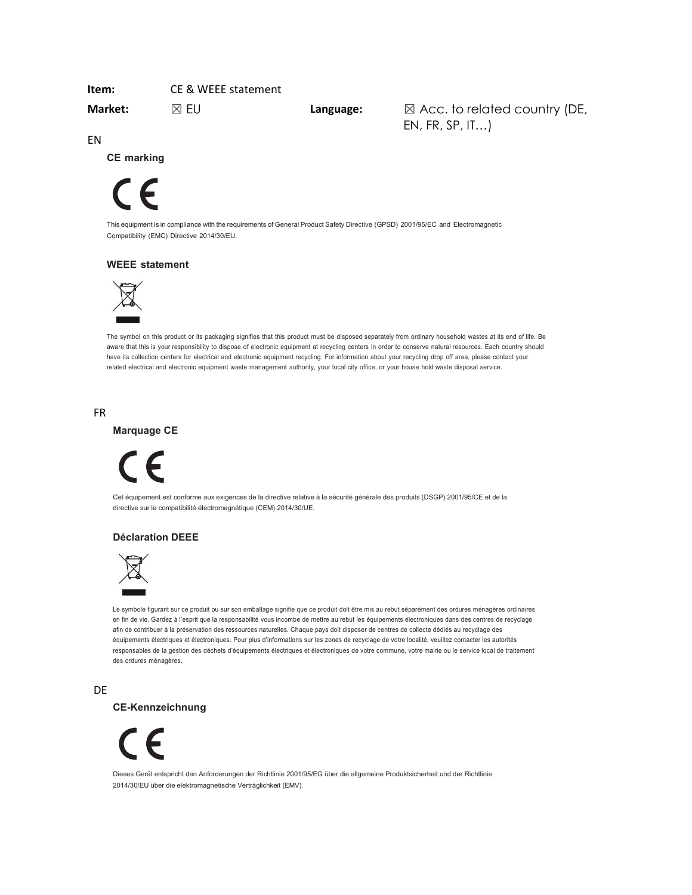# Item: CE & WEEE statement

Market:  $\boxtimes$  EU Language:  $\boxtimes$  Acc. to related country (DE, EN, FR, SP, IT…)

EN

CE marking

# $\epsilon$

This equipment is in compliance with the requirements of General Product Safety Directive (GPSD) 2001/95/EC and Electromagnetic Compatibility (EMC) Directive 2014/30/EU.

# WEEE statement



The symbol on this product or its packaging signifies that this product must be disposed separately from ordinary household wastes at its end of life. Be aware that this is your responsibility to dispose of electronic equipment at recycling centers in order to conserve natural resources. Each country should have its collection centers for electrical and electronic equipment recycling. For information about your recycling drop off area, please contact your related electrical and electronic equipment waste management authority, your local city office, or your house hold waste disposal service.

### FR

Marquage CE



Cet équipement est conforme aux exigences de la directive relative à la sécurité générale des produits (DSGP) 2001/95/CE et de la directive sur la compatibilité électromagnétique (CEM) 2014/30/UE.

### Déclaration DEEE



Le symbole figurant sur ce produit ou sur son emballage signifie que ce produit doit être mis au rebut séparément des ordures ménagères ordinaires en fin de vie. Gardez à l'esprit que la responsabilité vous incombe de mettre au rebut les équipements électroniques dans des centres de recyclage afin de contribuer à la préservation des ressources naturelles. Chaque pays doit disposer de centres de collecte dédiés au recyclage des équipements électriques et électroniques. Pour plus d'informations sur les zones de recyclage de votre localité, veuillez contacter les autorités responsables de la gestion des déchets d'équipements électriques et électroniques de votre commune, votre mairie ou le service local de traitement des ordures ménagères.

DE

CE-Kennzeichnung



Dieses Gerät entspricht den Anforderungen der Richtlinie 2001/95/EG über die allgemeine Produktsicherheit und der Richtlinie 2014/30/EU über die elektromagnetische Verträglichkeit (EMV).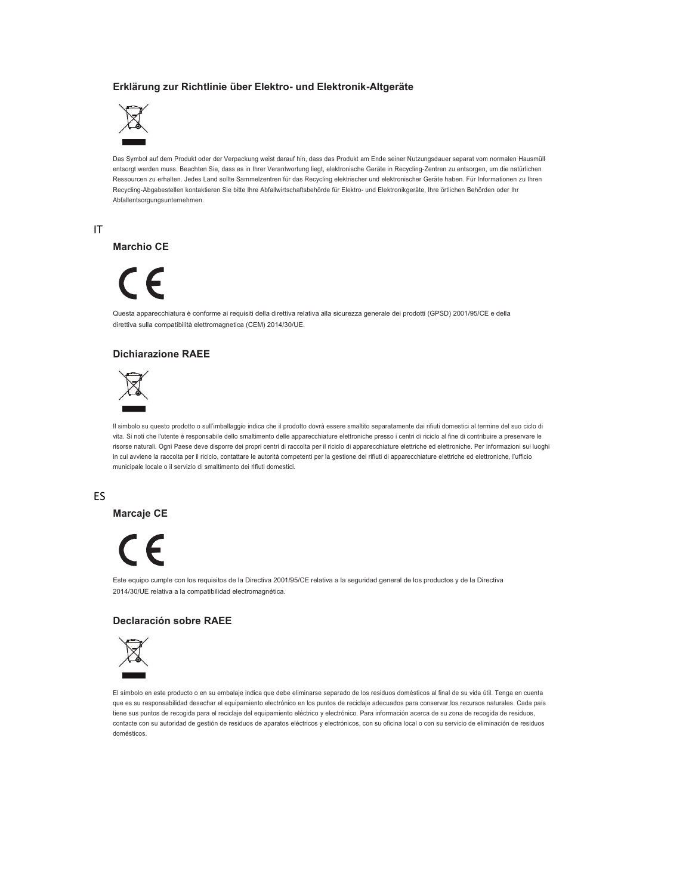# Erklärung zur Richtlinie über Elektro- und Elektronik-Altgeräte



Das Symbol auf dem Produkt oder der Verpackung weist darauf hin, dass das Produkt am Ende seiner Nutzungsdauer separat vom normalen Hausmüll entsorgt werden muss. Beachten Sie, dass es in Ihrer Verantwortung liegt, elektronische Geräte in Recycling-Zentren zu entsorgen, um die natürlichen Ressourcen zu erhalten. Jedes Land sollte Sammelzentren für das Recycling elektrischer und elektronischer Geräte haben. Für Informationen zu Ihren Recycling-Abgabestellen kontaktieren Sie bitte Ihre Abfallwirtschaftsbehörde für Elektro- und Elektronikgeräte, Ihre örtlichen Behörden oder Ihr Abfallentsorgungsunternehmen.

IT

### Marchio CE

# $\epsilon$

Questa apparecchiatura è conforme ai requisiti della direttiva relativa alla sicurezza generale dei prodotti (GPSD) 2001/95/CE e della direttiva sulla compatibilità elettromagnetica (CEM) 2014/30/UE.

### Dichiarazione RAEE



Il simbolo su questo prodotto o sull'imballaggio indica che il prodotto dovrà essere smaltito separatamente dai rifiuti domestici al termine del suo ciclo di vita. Si noti che l'utente è responsabile dello smaltimento delle apparecchiature elettroniche presso i centri di riciclo al fine di contribuire a preservare le risorse naturali. Ogni Paese deve disporre dei propri centri di raccolta per il riciclo di apparecchiature elettriche ed elettroniche. Per informazioni sui luoghi in cui avviene la raccolta per il riciclo, contattare le autorità competenti per la gestione dei rifiuti di apparecchiature elettriche ed elettroniche, l'ufficio municipale locale o il servizio di smaltimento dei rifiuti domestici.

ES

Marcaje CE



Este equipo cumple con los requisitos de la Directiva 2001/95/CE relativa a la seguridad general de los productos y de la Directiva 2014/30/UE relativa a la compatibilidad electromagnética.

### Declaración sobre RAEE



El símbolo en este producto o en su embalaje indica que debe eliminarse separado de los residuos domésticos al final de su vida útil. Tenga en cuenta que es su responsabilidad desechar el equipamiento electrónico en los puntos de reciclaje adecuados para conservar los recursos naturales. Cada país tiene sus puntos de recogida para el reciclaje del equipamiento eléctrico y electrónico. Para información acerca de su zona de recogida de residuos, contacte con su autoridad de gestión de residuos de aparatos eléctricos y electrónicos, con su oficina local o con su servicio de eliminación de residuos<br>domésticos.